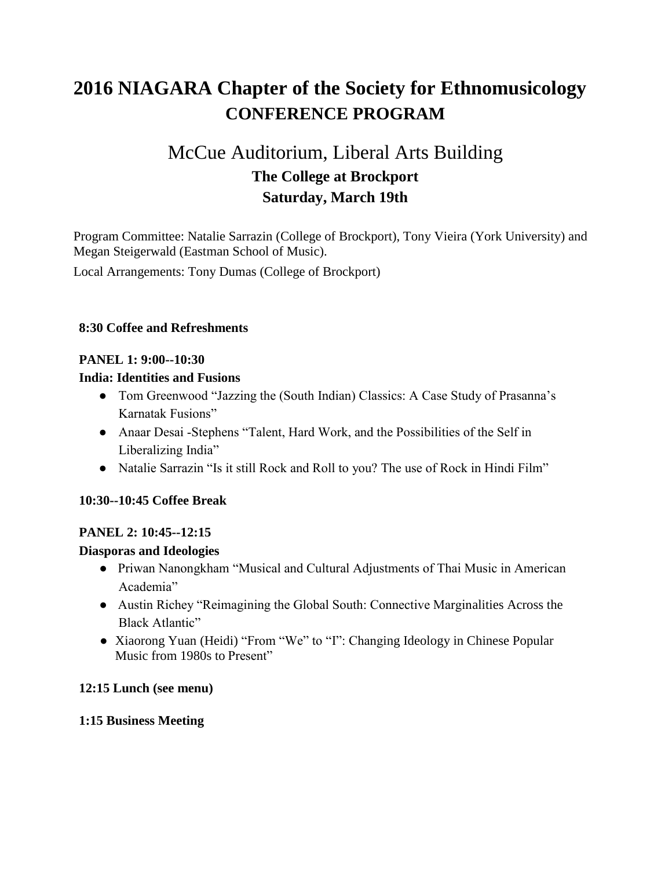# **2016 NIAGARA Chapter of the Society for Ethnomusicology CONFERENCE PROGRAM**

# McCue Auditorium, Liberal Arts Building **The College at Brockport Saturday, March 19th**

Program Committee: Natalie Sarrazin (College of Brockport), Tony Vieira (York University) and Megan Steigerwald (Eastman School of Music).

Local Arrangements: Tony Dumas (College of Brockport)

# **8:30 Coffee and Refreshments**

# **PANEL 1: 9:00--10:30**

# **India: Identities and Fusions**

- Tom Greenwood "Jazzing the (South Indian) Classics: A Case Study of Prasanna's Karnatak Fusions"
- Anaar Desai Stephens "Talent, Hard Work, and the Possibilities of the Self in Liberalizing India"
- Natalie Sarrazin "Is it still Rock and Roll to you? The use of Rock in Hindi Film"

# **10:30--10:45 Coffee Break**

#### **PANEL 2: 10:45--12:15**

#### **Diasporas and Ideologies**

- Priwan Nanongkham "Musical and Cultural Adjustments of Thai Music in American Academia"
- Austin Richey "Reimagining the Global South: Connective Marginalities Across the Black Atlantic"
- Xiaorong Yuan (Heidi) "From "We" to "I": Changing Ideology in Chinese Popular Music from 1980s to Present"

#### **12:15 Lunch (see menu)**

#### **1:15 Business Meeting**